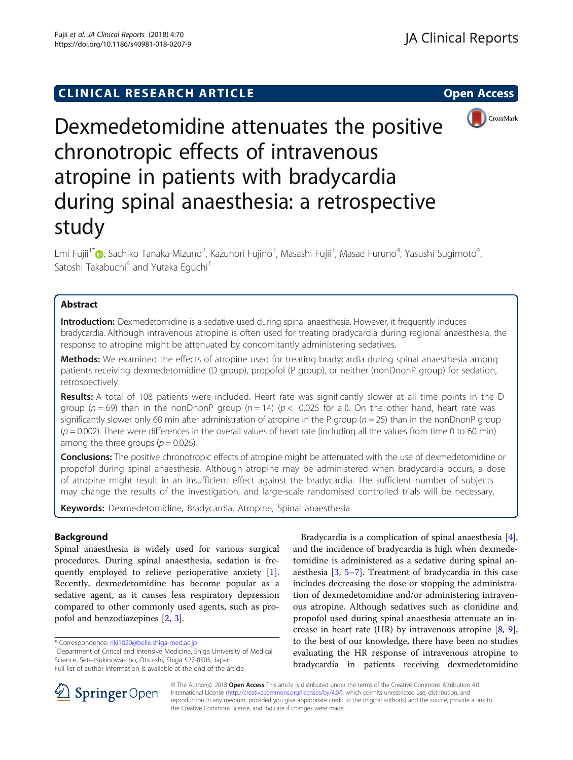## **CLINICAL RESEARCH ARTICLE CLINICAL RESEARCH ARTICLE**



# Dexmedetomidine attenuates the positive chronotropic effects of intravenous atropine in patients with bradycardia during spinal anaesthesia: a retrospective study

Emi Fujii<sup>1\*</sup>iD[,](http://orcid.org/0000-0001-8115-7146) Sachiko Tanaka-Mizuno<sup>2</sup>, Kazunori Fujino<sup>1</sup>, Masashi Fujii<sup>3</sup>, Masae Furuno<sup>4</sup>, Yasushi Sugimoto<sup>4</sup> , Satoshi Takabuchi<sup>4</sup> and Yutaka Equchi<sup>1</sup>

## Abstract

Introduction: Dexmedetomidine is a sedative used during spinal anaesthesia. However, it frequently induces bradycardia. Although intravenous atropine is often used for treating bradycardia during regional anaesthesia, the response to atropine might be attenuated by concomitantly administering sedatives.

**Methods:** We examined the effects of atropine used for treating bradycardia during spinal anaesthesia among patients receiving dexmedetomidine (D group), propofol (P group), or neither (nonDnonP group) for sedation, retrospectively.

Results: A total of 108 patients were included. Heart rate was significantly slower at all time points in the D group ( $n = 69$ ) than in the nonDnonP group ( $n = 14$ ) ( $p < 0.025$  for all). On the other hand, heart rate was significantly slower only 60 min after administration of atropine in the P group ( $n = 25$ ) than in the nonDnonP group  $(p = 0.002)$ . There were differences in the overall values of heart rate (including all the values from time 0 to 60 min) among the three groups ( $p = 0.026$ ).

Conclusions: The positive chronotropic effects of atropine might be attenuated with the use of dexmedetomidine or propofol during spinal anaesthesia. Although atropine may be administered when bradycardia occurs, a dose of atropine might result in an insufficient effect against the bradycardia. The sufficient number of subjects may change the results of the investigation, and large-scale randomised controlled trials will be necessary.

Keywords: Dexmedetomidine, Bradycardia, Atropine, Spinal anaesthesia

## Background

Spinal anaesthesia is widely used for various surgical procedures. During spinal anaesthesia, sedation is frequently employed to relieve perioperative anxiety [\[1](#page-4-0)]. Recently, dexmedetomidine has become popular as a sedative agent, as it causes less respiratory depression compared to other commonly used agents, such as propofol and benzodiazepines [\[2](#page-4-0), [3](#page-4-0)].

<sup>1</sup>Department of Critical and Intensive Medicine, Shiga University of Medical Science, Seta-tsukinowa-cho, Otsu-shi, Shiga 527-8505, Japan Full list of author information is available at the end of the article

Bradycardia is a complication of spinal anaesthesia [\[4](#page-4-0)], and the incidence of bradycardia is high when dexmedetomidine is administered as a sedative during spinal anaesthesia [[3](#page-4-0), [5](#page-4-0)–[7\]](#page-5-0). Treatment of bradycardia in this case includes decreasing the dose or stopping the administration of dexmedetomidine and/or administering intravenous atropine. Although sedatives such as clonidine and propofol used during spinal anaesthesia attenuate an increase in heart rate (HR) by intravenous atropine [[8,](#page-5-0) [9](#page-5-0)], to the best of our knowledge, there have been no studies evaluating the HR response of intravenous atropine to bradycardia in patients receiving dexmedetomidine



© The Author(s). 2018 Open Access This article is distributed under the terms of the Creative Commons Attribution 4.0 International License ([http://creativecommons.org/licenses/by/4.0/\)](http://creativecommons.org/licenses/by/4.0/), which permits unrestricted use, distribution, and reproduction in any medium, provided you give appropriate credit to the original author(s) and the source, provide a link to the Creative Commons license, and indicate if changes were made.

<sup>\*</sup> Correspondence: [riki1020@belle.shiga-med.ac.jp](mailto:riki1020@belle.shiga-med.ac.jp) <sup>1</sup>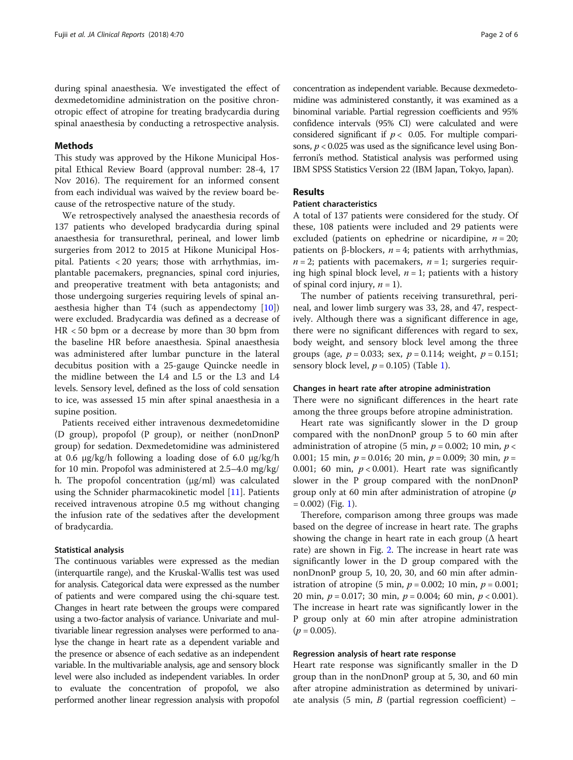during spinal anaesthesia. We investigated the effect of dexmedetomidine administration on the positive chronotropic effect of atropine for treating bradycardia during spinal anaesthesia by conducting a retrospective analysis.

#### Methods

This study was approved by the Hikone Municipal Hospital Ethical Review Board (approval number: 28-4, 17 Nov 2016). The requirement for an informed consent from each individual was waived by the review board because of the retrospective nature of the study.

We retrospectively analysed the anaesthesia records of 137 patients who developed bradycardia during spinal anaesthesia for transurethral, perineal, and lower limb surgeries from 2012 to 2015 at Hikone Municipal Hospital. Patients < 20 years; those with arrhythmias, implantable pacemakers, pregnancies, spinal cord injuries, and preoperative treatment with beta antagonists; and those undergoing surgeries requiring levels of spinal anaesthesia higher than T4 (such as appendectomy  $[10]$  $[10]$ ) were excluded. Bradycardia was defined as a decrease of HR < 50 bpm or a decrease by more than 30 bpm from the baseline HR before anaesthesia. Spinal anaesthesia was administered after lumbar puncture in the lateral decubitus position with a 25-gauge Quincke needle in the midline between the L4 and L5 or the L3 and L4 levels. Sensory level, defined as the loss of cold sensation to ice, was assessed 15 min after spinal anaesthesia in a supine position.

Patients received either intravenous dexmedetomidine (D group), propofol (P group), or neither (nonDnonP group) for sedation. Dexmedetomidine was administered at 0.6 μg/kg/h following a loading dose of 6.0 μg/kg/h for 10 min. Propofol was administered at 2.5–4.0 mg/kg/ h. The propofol concentration (μg/ml) was calculated using the Schnider pharmacokinetic model [[11\]](#page-5-0). Patients received intravenous atropine 0.5 mg without changing the infusion rate of the sedatives after the development of bradycardia.

#### Statistical analysis

The continuous variables were expressed as the median (interquartile range), and the Kruskal-Wallis test was used for analysis. Categorical data were expressed as the number of patients and were compared using the chi-square test. Changes in heart rate between the groups were compared using a two-factor analysis of variance. Univariate and multivariable linear regression analyses were performed to analyse the change in heart rate as a dependent variable and the presence or absence of each sedative as an independent variable. In the multivariable analysis, age and sensory block level were also included as independent variables. In order to evaluate the concentration of propofol, we also performed another linear regression analysis with propofol concentration as independent variable. Because dexmedetomidine was administered constantly, it was examined as a binominal variable. Partial regression coefficients and 95% confidence intervals (95% CI) were calculated and were considered significant if  $p < 0.05$ . For multiple comparisons,  $p < 0.025$  was used as the significance level using Bonferroni's method. Statistical analysis was performed using IBM SPSS Statistics Version 22 (IBM Japan, Tokyo, Japan).

## Results

### Patient characteristics

A total of 137 patients were considered for the study. Of these, 108 patients were included and 29 patients were excluded (patients on ephedrine or nicardipine,  $n = 20$ ; patients on β-blockers,  $n = 4$ ; patients with arrhythmias,  $n = 2$ ; patients with pacemakers,  $n = 1$ ; surgeries requiring high spinal block level,  $n = 1$ ; patients with a history of spinal cord injury,  $n = 1$ ).

The number of patients receiving transurethral, perineal, and lower limb surgery was 33, 28, and 47, respectively. Although there was a significant difference in age, there were no significant differences with regard to sex, body weight, and sensory block level among the three groups (age,  $p = 0.033$ ; sex,  $p = 0.114$ ; weight,  $p = 0.151$ ; sensory block level,  $p = 0.105$ ) (Table [1\)](#page-2-0).

#### Changes in heart rate after atropine administration

There were no significant differences in the heart rate among the three groups before atropine administration.

Heart rate was significantly slower in the D group compared with the nonDnonP group 5 to 60 min after administration of atropine (5 min,  $p = 0.002$ ; 10 min,  $p <$ 0.001; 15 min,  $p = 0.016$ ; 20 min,  $p = 0.009$ ; 30 min,  $p =$ 0.001; 60 min,  $p < 0.001$ ). Heart rate was significantly slower in the P group compared with the nonDnonP group only at 60 min after administration of atropine  $(p)$  $= 0.002$ ) (Fig. [1\)](#page-2-0).

Therefore, comparison among three groups was made based on the degree of increase in heart rate. The graphs showing the change in heart rate in each group ( $\Delta$  heart rate) are shown in Fig. [2.](#page-3-0) The increase in heart rate was significantly lower in the D group compared with the nonDnonP group 5, 10, 20, 30, and 60 min after administration of atropine (5 min,  $p = 0.002$ ; 10 min,  $p = 0.001$ ; 20 min,  $p = 0.017$ ; 30 min,  $p = 0.004$ ; 60 min,  $p < 0.001$ ). The increase in heart rate was significantly lower in the P group only at 60 min after atropine administration  $(p = 0.005)$ .

#### Regression analysis of heart rate response

Heart rate response was significantly smaller in the D group than in the nonDnonP group at 5, 30, and 60 min after atropine administration as determined by univariate analysis (5 min,  $B$  (partial regression coefficient) –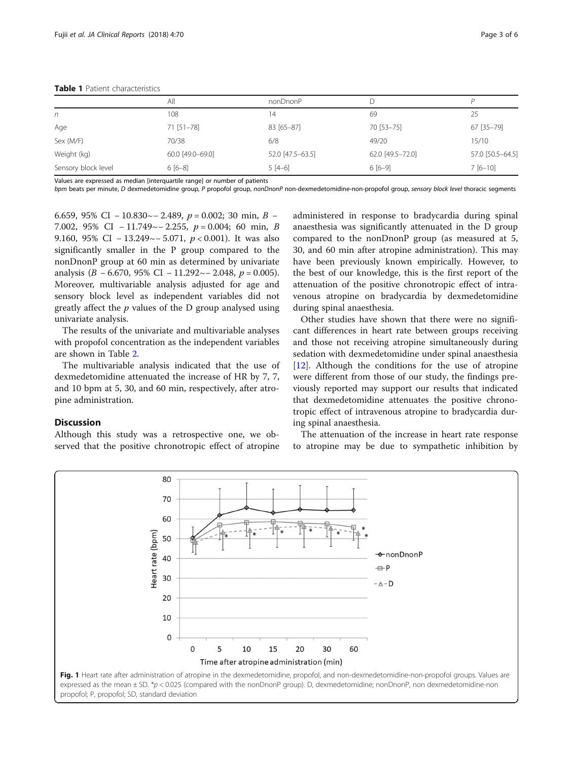<span id="page-2-0"></span>

|                     | All              | nonDnonP         |                  |                  |
|---------------------|------------------|------------------|------------------|------------------|
| n                   | 108              | 14               | 69               | 25               |
| Age                 | 71 [51-78]       | 83 [65-87]       | 70 [53-75]       | 67 [35-79]       |
| Sex (M/F)           | 70/38            | 6/8              | 49/20            | 15/10            |
| Weight (kg)         | 60.0 [49.0-69.0] | 52.0 [47.5-63.5] | 62.0 [49.5-72.0] | 57.0 [50.5-64.5] |
| Sensory block level | $6[6-8]$         | $5[4-6]$         | $6[6-9]$         | $7[6 - 10]$      |

Values are expressed as median [interquartile range] or number of patients

bpm beats per minute, D dexmedetomidine group, P propofol group, nonDnonP non-dexmedetomidine-non-propofol group, sensory block level thoracic segments

6.659, 95% CI − 10.830 $\sim$  – 2.489, p = 0.002; 30 min, B – 7.002, 95% CI − 11.749~− 2.255, p = 0.004; 60 min, B 9.160, 95% CI − 13.249 $\sim$  – 5.071,  $p < 0.001$ ). It was also significantly smaller in the P group compared to the nonDnonP group at 60 min as determined by univariate analysis (*B* − 6.670, 95% CI − 11.292 $\sim$  – 2.048, *p* = 0.005). Moreover, multivariable analysis adjusted for age and sensory block level as independent variables did not greatly affect the  $p$  values of the D group analysed using univariate analysis.

The results of the univariate and multivariable analyses with propofol concentration as the independent variables are shown in Table [2](#page-3-0).

The multivariable analysis indicated that the use of dexmedetomidine attenuated the increase of HR by 7, 7, and 10 bpm at 5, 30, and 60 min, respectively, after atropine administration.

#### **Discussion**

Although this study was a retrospective one, we observed that the positive chronotropic effect of atropine administered in response to bradycardia during spinal anaesthesia was significantly attenuated in the D group compared to the nonDnonP group (as measured at 5, 30, and 60 min after atropine administration). This may have been previously known empirically. However, to the best of our knowledge, this is the first report of the attenuation of the positive chronotropic effect of intravenous atropine on bradycardia by dexmedetomidine during spinal anaesthesia.

Other studies have shown that there were no significant differences in heart rate between groups receiving and those not receiving atropine simultaneously during sedation with dexmedetomidine under spinal anaesthesia [[12\]](#page-5-0). Although the conditions for the use of atropine were different from those of our study, the findings previously reported may support our results that indicated that dexmedetomidine attenuates the positive chronotropic effect of intravenous atropine to bradycardia during spinal anaesthesia.

The attenuation of the increase in heart rate response to atropine may be due to sympathetic inhibition by

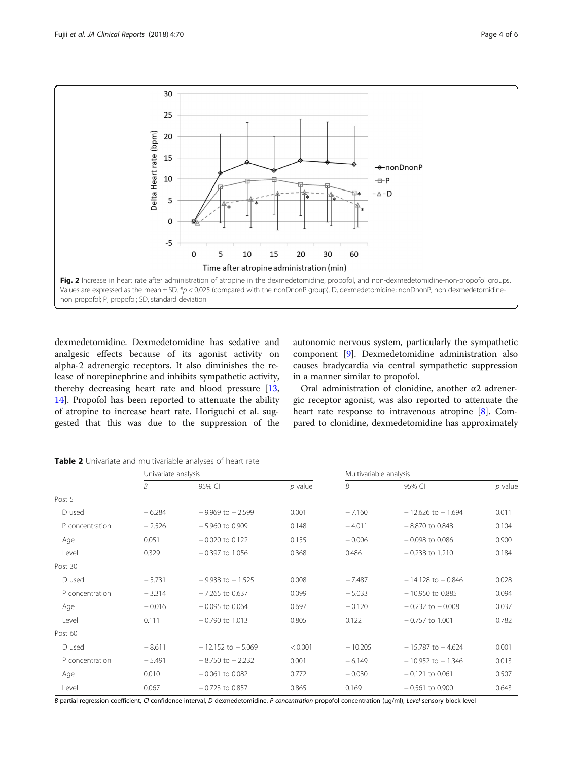<span id="page-3-0"></span>

dexmedetomidine. Dexmedetomidine has sedative and analgesic effects because of its agonist activity on alpha-2 adrenergic receptors. It also diminishes the release of norepinephrine and inhibits sympathetic activity, thereby decreasing heart rate and blood pressure [[13](#page-5-0), [14\]](#page-5-0). Propofol has been reported to attenuate the ability of atropine to increase heart rate. Horiguchi et al. suggested that this was due to the suppression of the

autonomic nervous system, particularly the sympathetic component [\[9](#page-5-0)]. Dexmedetomidine administration also causes bradycardia via central sympathetic suppression in a manner similar to propofol.

Oral administration of clonidine, another α2 adrenergic receptor agonist, was also reported to attenuate the heart rate response to intravenous atropine [[8\]](#page-5-0). Compared to clonidine, dexmedetomidine has approximately

|                 | Univariate analysis |                       |           | Multivariable analysis |                       |           |
|-----------------|---------------------|-----------------------|-----------|------------------------|-----------------------|-----------|
|                 | <sub>R</sub>        | 95% CI                | $p$ value | B                      | 95% CI                | $p$ value |
| Post 5          |                     |                       |           |                        |                       |           |
| D used          | $-6.284$            | $-9.969$ to $-2.599$  | 0.001     | $-7.160$               | $-12.626$ to $-1.694$ | 0.011     |
| P concentration | $-2.526$            | $-5.960$ to 0.909     | 0.148     | $-4.011$               | $-8.870$ to 0.848     | 0.104     |
| Age             | 0.051               | $-0.020$ to 0.122     | 0.155     | $-0.006$               | $-0.098$ to 0.086     | 0.900     |
| Level           | 0.329               | $-0.397$ to 1.056     | 0.368     | 0.486                  | $-0.238$ to 1.210     | 0.184     |
| Post 30         |                     |                       |           |                        |                       |           |
| D used          | $-5.731$            | $-9.938$ to $-1.525$  | 0.008     | $-7.487$               | $-14.128$ to $-0.846$ | 0.028     |
| P concentration | $-3.314$            | $-7.265$ to 0.637     | 0.099     | $-5.033$               | $-10.950$ to 0.885    | 0.094     |
| Age             | $-0.016$            | $-0.095$ to 0.064     | 0.697     | $-0.120$               | $-0.232$ to $-0.008$  | 0.037     |
| Level           | 0.111               | $-0.790$ to 1.013     | 0.805     | 0.122                  | $-0.757$ to 1.001     | 0.782     |
| Post 60         |                     |                       |           |                        |                       |           |
| D used          | $-8.611$            | $-12.152$ to $-5.069$ | < 0.001   | $-10.205$              | $-15.787$ to $-4.624$ | 0.001     |
| P concentration | $-5.491$            | $-8.750$ to $-2.232$  | 0.001     | $-6.149$               | $-10.952$ to $-1.346$ | 0.013     |
| Age             | 0.010               | $-0.061$ to 0.082     | 0.772     | $-0.030$               | $-0.121$ to 0.061     | 0.507     |
| Level           | 0.067               | $-0.723$ to 0.857     | 0.865     | 0.169                  | $-0.561$ to 0.900     | 0.643     |

Table 2 Univariate and multivariable analyses of heart rate

B partial regression coefficient, CI confidence interval, D dexmedetomidine, P concentration propofol concentration (μg/ml), Level sensory block level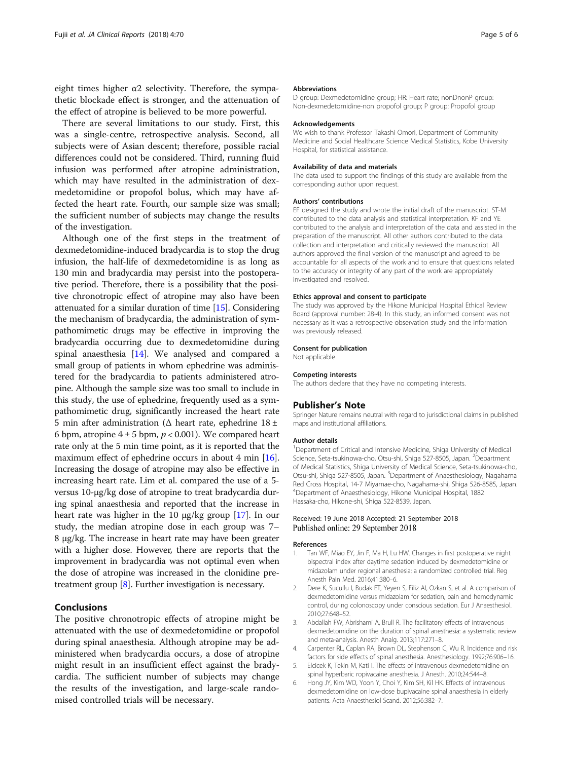<span id="page-4-0"></span>eight times higher  $\alpha$ 2 selectivity. Therefore, the sympathetic blockade effect is stronger, and the attenuation of the effect of atropine is believed to be more powerful.

There are several limitations to our study. First, this was a single-centre, retrospective analysis. Second, all subjects were of Asian descent; therefore, possible racial differences could not be considered. Third, running fluid infusion was performed after atropine administration, which may have resulted in the administration of dexmedetomidine or propofol bolus, which may have affected the heart rate. Fourth, our sample size was small; the sufficient number of subjects may change the results of the investigation.

Although one of the first steps in the treatment of dexmedetomidine-induced bradycardia is to stop the drug infusion, the half-life of dexmedetomidine is as long as 130 min and bradycardia may persist into the postoperative period. Therefore, there is a possibility that the positive chronotropic effect of atropine may also have been attenuated for a similar duration of time [\[15\]](#page-5-0). Considering the mechanism of bradycardia, the administration of sympathomimetic drugs may be effective in improving the bradycardia occurring due to dexmedetomidine during spinal anaesthesia [[14](#page-5-0)]. We analysed and compared a small group of patients in whom ephedrine was administered for the bradycardia to patients administered atropine. Although the sample size was too small to include in this study, the use of ephedrine, frequently used as a sympathomimetic drug, significantly increased the heart rate 5 min after administration (Δ heart rate, ephedrine 18 ± 6 bpm, atropine  $4 \pm 5$  bpm,  $p < 0.001$ ). We compared heart rate only at the 5 min time point, as it is reported that the maximum effect of ephedrine occurs in about 4 min [[16](#page-5-0)]. Increasing the dosage of atropine may also be effective in increasing heart rate. Lim et al. compared the use of a 5 versus 10-μg/kg dose of atropine to treat bradycardia during spinal anaesthesia and reported that the increase in heart rate was higher in the 10 μg/kg group [[17\]](#page-5-0). In our study, the median atropine dose in each group was 7– 8 μg/kg. The increase in heart rate may have been greater with a higher dose. However, there are reports that the improvement in bradycardia was not optimal even when the dose of atropine was increased in the clonidine pretreatment group [[8\]](#page-5-0). Further investigation is necessary.

#### Conclusions

The positive chronotropic effects of atropine might be attenuated with the use of dexmedetomidine or propofol during spinal anaesthesia. Although atropine may be administered when bradycardia occurs, a dose of atropine might result in an insufficient effect against the bradycardia. The sufficient number of subjects may change the results of the investigation, and large-scale randomised controlled trials will be necessary.

#### Abbreviations

D group: Dexmedetomidine group; HR: Heart rate; nonDnonP group: Non-dexmedetomidine-non propofol group; P group: Propofol group

#### Acknowledgements

We wish to thank Professor Takashi Omori, Department of Community Medicine and Social Healthcare Science Medical Statistics, Kobe University Hospital, for statistical assistance.

#### Availability of data and materials

The data used to support the findings of this study are available from the corresponding author upon request.

#### Authors' contributions

EF designed the study and wrote the initial draft of the manuscript. ST-M contributed to the data analysis and statistical interpretation. KF and YE contributed to the analysis and interpretation of the data and assisted in the preparation of the manuscript. All other authors contributed to the data collection and interpretation and critically reviewed the manuscript. All authors approved the final version of the manuscript and agreed to be accountable for all aspects of the work and to ensure that questions related to the accuracy or integrity of any part of the work are appropriately investigated and resolved.

#### Ethics approval and consent to participate

The study was approved by the Hikone Municipal Hospital Ethical Review Board (approval number: 28-4). In this study, an informed consent was not necessary as it was a retrospective observation study and the information was previously released.

#### Consent for publication

Not applicable

#### Competing interests

The authors declare that they have no competing interests.

#### Publisher's Note

Springer Nature remains neutral with regard to jurisdictional claims in published maps and institutional affiliations.

#### Author details

<sup>1</sup>Department of Critical and Intensive Medicine, Shiga University of Medical Science, Seta-tsukinowa-cho, Otsu-shi, Shiga 527-8505, Japan. <sup>2</sup>Department of Medical Statistics, Shiga University of Medical Science, Seta-tsukinowa-cho, Otsu-shi, Shiga 527-8505, Japan. <sup>3</sup>Department of Anaesthesiology, Nagahama Red Cross Hospital, 14-7 Miyamae-cho, Nagahama-shi, Shiga 526-8585, Japan. 4 Department of Anaesthesiology, Hikone Municipal Hospital, 1882 Hassaka-cho, Hikone-shi, Shiga 522-8539, Japan.

#### Received: 19 June 2018 Accepted: 21 September 2018 Published online: 29 September 2018

#### References

- 1. Tan WF, Miao EY, Jin F, Ma H, Lu HW. Changes in first postoperative night bispectral index after daytime sedation induced by dexmedetomidine or midazolam under regional anesthesia: a randomized controlled trial. Reg Anesth Pain Med. 2016;41:380–6.
- 2. Dere K, Sucullu I, Budak ET, Yeyen S, Filiz AI, Ozkan S, et al. A comparison of dexmedetomidine versus midazolam for sedation, pain and hemodynamic control, during colonoscopy under conscious sedation. Eur J Anaesthesiol. 2010;27:648–52.
- 3. Abdallah FW, Abrishami A, Brull R. The facilitatory effects of intravenous dexmedetomidine on the duration of spinal anesthesia: a systematic review and meta-analysis. Anesth Analg. 2013;117:271–8.
- 4. Carpenter RL, Caplan RA, Brown DL, Stephenson C, Wu R. Incidence and risk factors for side effects of spinal anesthesia. Anesthesiology. 1992;76:906–16.
- 5. Elcicek K, Tekin M, Kati I. The effects of intravenous dexmedetomidine on spinal hyperbaric ropivacaine anesthesia. J Anesth. 2010;24:544–8.
- 6. Hong JY, Kim WO, Yoon Y, Choi Y, Kim SH, Kil HK. Effects of intravenous dexmedetomidine on low-dose bupivacaine spinal anaesthesia in elderly patients. Acta Anaesthesiol Scand. 2012;56:382–7.